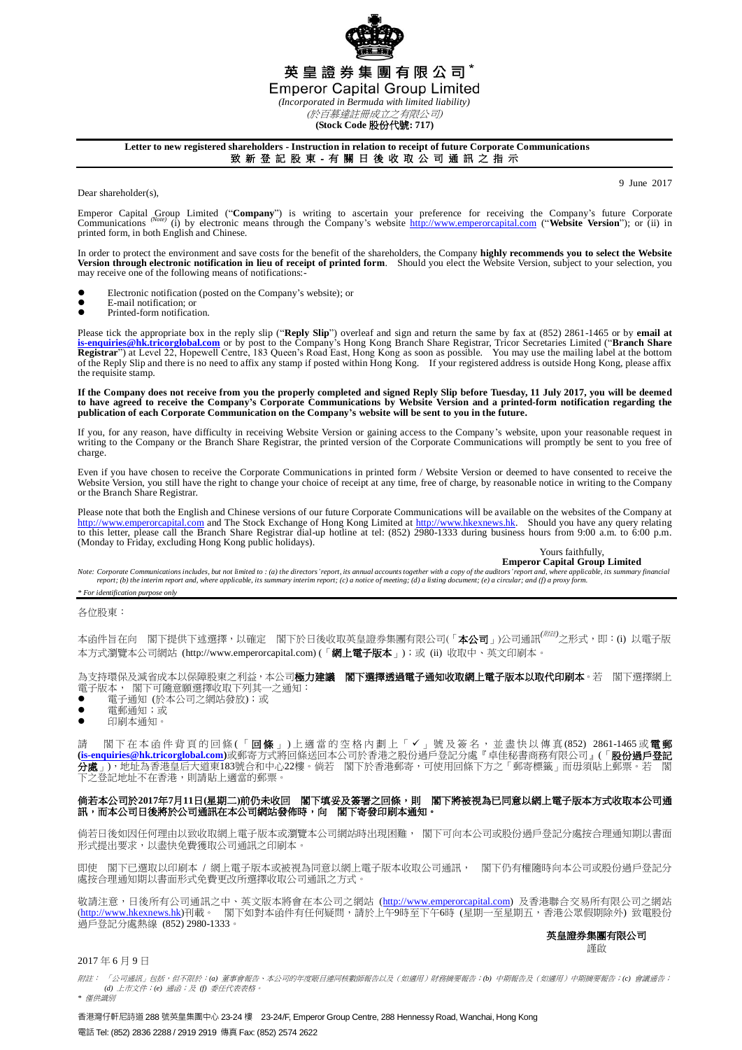英 皇 證 券 集 團 有 限 公 司 \* **Emperor Capital Group Limited** *(Incorporated in Bermuda with limited liability)* (於百慕達註冊成立之有限公司)

**(Stock Code** 股份代號**: 717)**

**Letter to new registered shareholders - Instruction in relation to receipt of future Corporate Communications** 致 新 登 記 股 東 - 有 關 日 後 收 取 公 司 通 訊 之 指 示

Dear shareholder(s).

9 June 2017

Emperor Capital Group Limited ("Company") is writing to ascertain your preference for receiving the Company's future Corporate Company's future Corporate Company's future Corporate Company's future Corporate Company's webs printed form, in both English and Chinese.

In order to protect the environment and save costs for the benefit of the shareholders, the Company **highly recommends you to select the Website Version through electronic notification in lieu of receipt of printed form**. Should you elect the Website Version, subject to your selection, you may receive one of the following means of notifications:-

- Electronic notification (posted on the Company's website); or
- E-mail notification; or<br>• Printed-form notificati Printed-form notification.

Please tick the appropriate box in the reply slip ("**Reply Slip**") overleaf and sign and return the same by fax at (852) 2861-1465 or by **email at** [is-enquiries@hk.tricorglobal.com](mailto:is-enquiries@hk.tricorglobal.com) or by post to the Company's Hong Kong Bra of the Reply Slip and there is no need to affix any stamp if posted within Hong Kong. If your registered address is outside Hong Kong, please affix the requisite stamp.

If the Company does not receive from you the properly completed and signed Reply Slip before Tuesday, 11 July 2017, you will be deemed<br>to have agreed to receive the Company's Corporate Communications by Website Version and **publication of each Corporate Communication on the Company's website will be sent to you in the future.**

If you, for any reason, have difficulty in receiving Website Version or gaining access to the Company's website, upon your reasonable request in writing to the Company or the Branch Share Registrar, the printed version of the Corporate Communications will promptly be sent to you free of charge.

Even if you have chosen to receive the Corporate Communications in printed form / Website Version or deemed to have consented to receive the Website Version, you still have the right to change your choice of receipt at any time, free of charge, by reasonable notice in writing to the Company or the Branch Share Registrar.

Please note that both the English and Chinese versions of our future Corporate Communications will be available on the websites of the Company at [http://www.emperorcapital.com](http://www.emperorcapital.com/) and The Stock Exchange of Hong Kong Limited at to this letter, please call the Branch Share Registrar dial-up hotline at tel: (852) 2980-1333 during business hours from 9:00 a.m. to 6:00 p.m. (Monday to Friday, excluding Hong Kong public holidays).

Yours faithfully, **Emperor Capital Group Limited**

Note: Corporate Communications includes, but not limited to : (a) the directors' report, its annual accounts together with a copy of the auditors' report and, where applicable, its summary financial<br>report; (b) the interim

## *\* For identification purpose only*

各位股東:

本函件旨在向 閣下提供下述選擇,以確定 閣下於日後收取英皇證券集團有限公司(「**本公司**」)公司通訊<sup>(*附註)</sup>之形式*,即:(i) 以電子版</sup> 本方式瀏覽本公司網站 (http://www.emperorcapital.com) (「**網上電子版本**」);或 (ii) 收取中、英文印刷本。

為支持環保及減省成本以保障股東之利益,本公司極力建議 閣下選擇透過電子通知收取網上電子版本以取代印刷本。若 閣下選擇網上 電子版本, 閣下可隨意願選擇收取下列其一之通知:

- 電子通知 (於本公司之網站發放);或
- 電郵通知;或
- 印刷本通知。

請 閣下在本函件背頁的回條(「**回條**」)上適當的空格內劃上「✔」號及簽名,並盡快以傳真(852) 2861-1465或**電郵 [\(is-enquiries@hk.tricorglobal.com\)](mailto:is-enquiries@hk.tricorglobal.com)**或郵寄方式將回條送回本公司於香港之股份過戶登記分處『卓佳秘書商務有限公司』(「股份過戶登記 分處」),地址為香港皇后大道東183號合和中心22樓。倘若 閣下於香港郵寄,可使用回條下方之「郵寄標籤」而毋須貼上郵 **之**登》<br>之登記地址不在香港,則請貼上滴當的郵票。

## 倘若本公司於**2017**年**7**月**11**日**(**星期二**)**前仍未收回 閣下填妥及簽署之回條,則 閣下將被視為已同意以網上電子版本方式收取本公司通 訊,而本公司日後將於公司通訊在本公司網站發佈時,向 閣下寄發印刷本通知。

倘若日後如因任何理由以致收取網上電子版本或瀏覽本公司網站時出現困難, 閣下可向本公司或股份過戶登記分處按合理通知期以書面 形式提出要求,以盡快免費獲取公司通訊之印刷本。

即使 閣下已選取以印刷本 / 網上電子版本或被視為同意以網上電子版本收取公司通訊, 閣下仍有權隨時向本公司或股份過戶登記分 處按合理通知期以書面形式免費更改所選擇收取公司通訊之方式。

敬請注意,日後所有公司通訊之中、英文版本將會在本公司之網站 [\(http://www.emperorcapital.com\)](http://www.emperorcapital.com/) 及香港聯合交易所有限公司之網站 (<u>http://www.hkexnews.hk</u>)刊載。 閣下如對本函件有任何疑問,請於上午9時至下午6時 (星期一至星期五,香港公眾假期除外) 致電股份 過戶登記分處熱線 (852) 2980-1333。

## 英皇證券集團有限公司

謹啟

## 2017 年 6 月 9 日

附註: 「公司通訊」包括,但不限於:*(a)* 董事會報告、本公司的年度賬目連同核數師報告以及(如適用)財務摘要報告;*(b)* 中期報告及(如適用)中期摘要報告;*(c)* 會議通告; *(d)* 上市文件;*(e)* 通函;及 *(f)* 委任代表表格。 *\** 僅供識別

香港灣仔軒尼詩道 288 號英皇集團中心 23-24 樓 23-24/F, Emperor Group Centre, 288 Hennessy Road, Wanchai, Hong Kong 電話 Tel: (852) 2836 2288 / 2919 2919 傳真 Fax: (852) 2574 2622